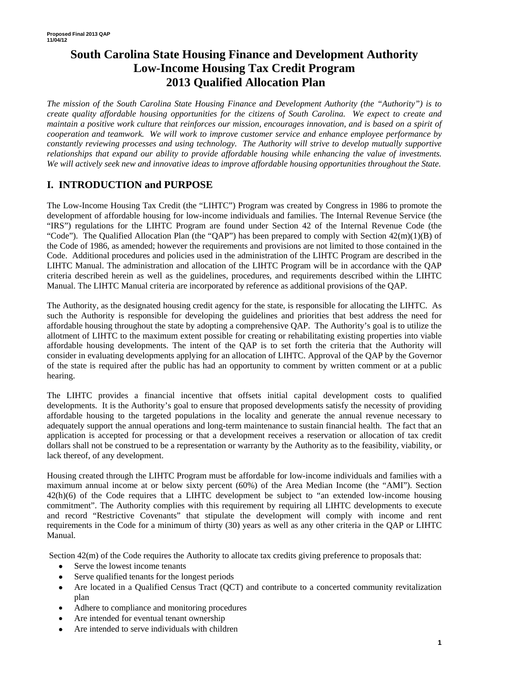# **South Carolina State Housing Finance and Development Authority Low-Income Housing Tax Credit Program 2013 Qualified Allocation Plan**

*The mission of the South Carolina State Housing Finance and Development Authority (the "Authority") is to create quality affordable housing opportunities for the citizens of South Carolina. We expect to create and maintain a positive work culture that reinforces our mission, encourages innovation, and is based on a spirit of cooperation and teamwork. We will work to improve customer service and enhance employee performance by constantly reviewing processes and using technology. The Authority will strive to develop mutually supportive relationships that expand our ability to provide affordable housing while enhancing the value of investments. We will actively seek new and innovative ideas to improve affordable housing opportunities throughout the State.* 

# **I. INTRODUCTION and PURPOSE**

The Low-Income Housing Tax Credit (the "LIHTC") Program was created by Congress in 1986 to promote the development of affordable housing for low-income individuals and families. The Internal Revenue Service (the "IRS") regulations for the LIHTC Program are found under Section 42 of the Internal Revenue Code (the "Code"). The Qualified Allocation Plan (the "QAP") has been prepared to comply with Section  $42(m)(1)(B)$  of the Code of 1986, as amended; however the requirements and provisions are not limited to those contained in the Code. Additional procedures and policies used in the administration of the LIHTC Program are described in the LIHTC Manual. The administration and allocation of the LIHTC Program will be in accordance with the QAP criteria described herein as well as the guidelines, procedures, and requirements described within the LIHTC Manual. The LIHTC Manual criteria are incorporated by reference as additional provisions of the QAP.

The Authority, as the designated housing credit agency for the state, is responsible for allocating the LIHTC. As such the Authority is responsible for developing the guidelines and priorities that best address the need for affordable housing throughout the state by adopting a comprehensive QAP. The Authority's goal is to utilize the allotment of LIHTC to the maximum extent possible for creating or rehabilitating existing properties into viable affordable housing developments. The intent of the QAP is to set forth the criteria that the Authority will consider in evaluating developments applying for an allocation of LIHTC. Approval of the QAP by the Governor of the state is required after the public has had an opportunity to comment by written comment or at a public hearing.

The LIHTC provides a financial incentive that offsets initial capital development costs to qualified developments. It is the Authority's goal to ensure that proposed developments satisfy the necessity of providing affordable housing to the targeted populations in the locality and generate the annual revenue necessary to adequately support the annual operations and long-term maintenance to sustain financial health. The fact that an application is accepted for processing or that a development receives a reservation or allocation of tax credit dollars shall not be construed to be a representation or warranty by the Authority as to the feasibility, viability, or lack thereof, of any development.

Housing created through the LIHTC Program must be affordable for low-income individuals and families with a maximum annual income at or below sixty percent (60%) of the Area Median Income (the "AMI"). Section 42(h)(6) of the Code requires that a LIHTC development be subject to "an extended low-income housing commitment". The Authority complies with this requirement by requiring all LIHTC developments to execute and record "Restrictive Covenants" that stipulate the development will comply with income and rent requirements in the Code for a minimum of thirty (30) years as well as any other criteria in the QAP or LIHTC Manual.

Section  $42(m)$  of the Code requires the Authority to allocate tax credits giving preference to proposals that:

- Serve the lowest income tenants
- Serve qualified tenants for the longest periods
- Are located in a Qualified Census Tract (QCT) and contribute to a concerted community revitalization plan
- Adhere to compliance and monitoring procedures
- Are intended for eventual tenant ownership
- Are intended to serve individuals with children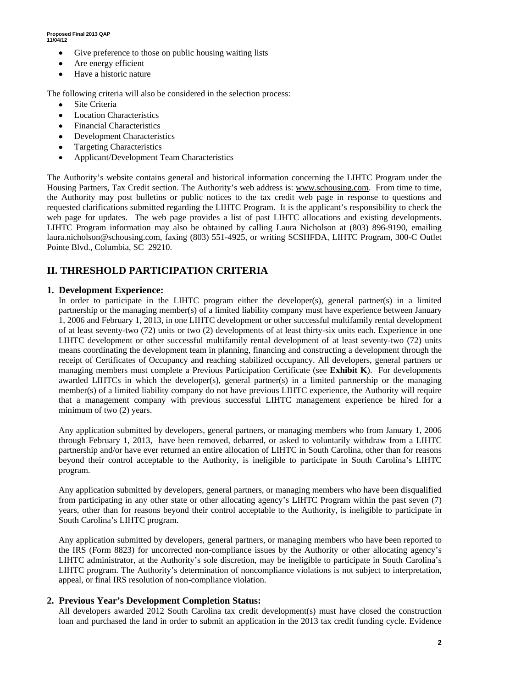- Give preference to those on public housing waiting lists
- Are energy efficient
- Have a historic nature

The following criteria will also be considered in the selection process:

- Site Criteria
- **Location Characteristics**
- Financial Characteristics
- **Development Characteristics**
- Targeting Characteristics
- Applicant/Development Team Characteristics

The Authority's website contains general and historical information concerning the LIHTC Program under the Housing Partners, Tax Credit section. The Authority's web address is: www.schousing.com. From time to time, the Authority may post bulletins or public notices to the tax credit web page in response to questions and requested clarifications submitted regarding the LIHTC Program. It is the applicant's responsibility to check the web page for updates. The web page provides a list of past LIHTC allocations and existing developments. LIHTC Program information may also be obtained by calling Laura Nicholson at (803) 896-9190, emailing laura.nicholson@schousing.com, faxing (803) 551-4925, or writing SCSHFDA, LIHTC Program, 300-C Outlet Pointe Blvd., Columbia, SC 29210.

# **II. THRESHOLD PARTICIPATION CRITERIA**

#### **1. Development Experience:**

In order to participate in the LIHTC program either the developer(s), general partner(s) in a limited partnership or the managing member(s) of a limited liability company must have experience between January 1, 2006 and February 1, 2013, in one LIHTC development or other successful multifamily rental development of at least seventy-two (72) units or two (2) developments of at least thirty-six units each. Experience in one LIHTC development or other successful multifamily rental development of at least seventy-two (72) units means coordinating the development team in planning, financing and constructing a development through the receipt of Certificates of Occupancy and reaching stabilized occupancy. All developers, general partners or managing members must complete a Previous Participation Certificate (see **Exhibit K**). For developments awarded LIHTCs in which the developer(s), general partner(s) in a limited partnership or the managing member(s) of a limited liability company do not have previous LIHTC experience, the Authority will require that a management company with previous successful LIHTC management experience be hired for a minimum of two (2) years.

Any application submitted by developers, general partners, or managing members who from January 1, 2006 through February 1, 2013, have been removed, debarred, or asked to voluntarily withdraw from a LIHTC partnership and/or have ever returned an entire allocation of LIHTC in South Carolina, other than for reasons beyond their control acceptable to the Authority, is ineligible to participate in South Carolina's LIHTC program.

Any application submitted by developers, general partners, or managing members who have been disqualified from participating in any other state or other allocating agency's LIHTC Program within the past seven (7) years, other than for reasons beyond their control acceptable to the Authority, is ineligible to participate in South Carolina's LIHTC program.

Any application submitted by developers, general partners, or managing members who have been reported to the IRS (Form 8823) for uncorrected non-compliance issues by the Authority or other allocating agency's LIHTC administrator, at the Authority's sole discretion, may be ineligible to participate in South Carolina's LIHTC program. The Authority's determination of noncompliance violations is not subject to interpretation, appeal, or final IRS resolution of non-compliance violation.

### **2. Previous Year's Development Completion Status:**

All developers awarded 2012 South Carolina tax credit development(s) must have closed the construction loan and purchased the land in order to submit an application in the 2013 tax credit funding cycle. Evidence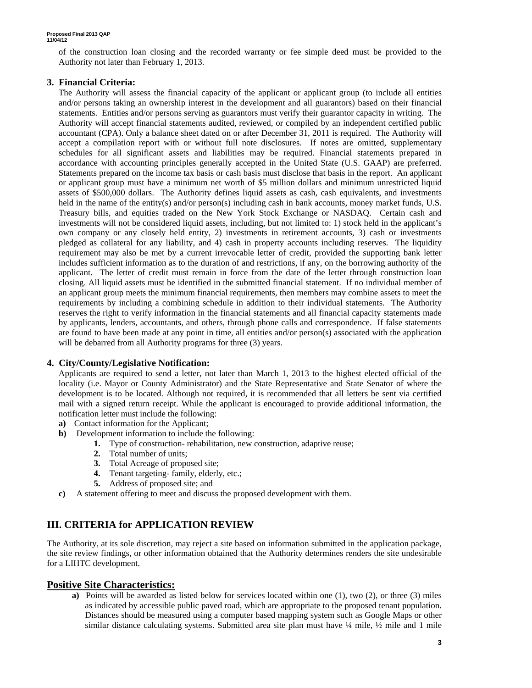of the construction loan closing and the recorded warranty or fee simple deed must be provided to the Authority not later than February 1, 2013.

#### **3. Financial Criteria:**

The Authority will assess the financial capacity of the applicant or applicant group (to include all entities and/or persons taking an ownership interest in the development and all guarantors) based on their financial statements. Entities and/or persons serving as guarantors must verify their guarantor capacity in writing. The Authority will accept financial statements audited, reviewed, or compiled by an independent certified public accountant (CPA). Only a balance sheet dated on or after December 31, 2011 is required. The Authority will accept a compilation report with or without full note disclosures. If notes are omitted, supplementary schedules for all significant assets and liabilities may be required. Financial statements prepared in accordance with accounting principles generally accepted in the United State (U.S. GAAP) are preferred. Statements prepared on the income tax basis or cash basis must disclose that basis in the report. An applicant or applicant group must have a minimum net worth of \$5 million dollars and minimum unrestricted liquid assets of \$500,000 dollars. The Authority defines liquid assets as cash, cash equivalents, and investments held in the name of the entity(s) and/or person(s) including cash in bank accounts, money market funds, U.S. Treasury bills, and equities traded on the New York Stock Exchange or NASDAQ. Certain cash and investments will not be considered liquid assets, including, but not limited to: 1) stock held in the applicant's own company or any closely held entity, 2) investments in retirement accounts, 3) cash or investments pledged as collateral for any liability, and 4) cash in property accounts including reserves. The liquidity requirement may also be met by a current irrevocable letter of credit, provided the supporting bank letter includes sufficient information as to the duration of and restrictions, if any, on the borrowing authority of the applicant. The letter of credit must remain in force from the date of the letter through construction loan closing. All liquid assets must be identified in the submitted financial statement. If no individual member of an applicant group meets the minimum financial requirements, then members may combine assets to meet the requirements by including a combining schedule in addition to their individual statements. The Authority reserves the right to verify information in the financial statements and all financial capacity statements made by applicants, lenders, accountants, and others, through phone calls and correspondence. If false statements are found to have been made at any point in time, all entities and/or person(s) associated with the application will be debarred from all Authority programs for three (3) years.

#### **4. City/County/Legislative Notification:**

Applicants are required to send a letter, not later than March 1, 2013 to the highest elected official of the locality (i.e. Mayor or County Administrator) and the State Representative and State Senator of where the development is to be located. Although not required, it is recommended that all letters be sent via certified mail with a signed return receipt. While the applicant is encouraged to provide additional information, the notification letter must include the following:

- **a)** Contact information for the Applicant;
- **b)** Development information to include the following:
	- **1.** Type of construction- rehabilitation, new construction, adaptive reuse;
	- **2.** Total number of units;
	- **3.** Total Acreage of proposed site;
	- **4.** Tenant targeting- family, elderly, etc.;
	- **5.** Address of proposed site; and
- **c)** A statement offering to meet and discuss the proposed development with them.

## **III. CRITERIA for APPLICATION REVIEW**

The Authority, at its sole discretion, may reject a site based on information submitted in the application package, the site review findings, or other information obtained that the Authority determines renders the site undesirable for a LIHTC development.

#### **Positive Site Characteristics:**

**a)** Points will be awarded as listed below for services located within one (1), two (2), or three (3) miles as indicated by accessible public paved road, which are appropriate to the proposed tenant population. Distances should be measured using a computer based mapping system such as Google Maps or other similar distance calculating systems. Submitted area site plan must have  $\frac{1}{4}$  mile,  $\frac{1}{2}$  mile and 1 mile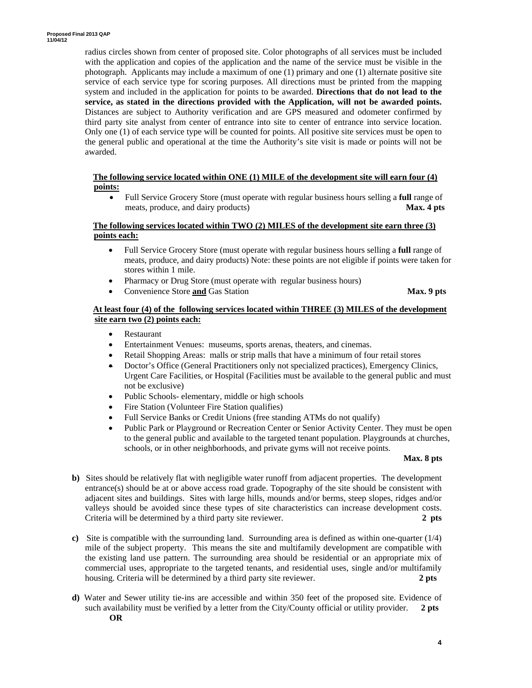radius circles shown from center of proposed site. Color photographs of all services must be included with the application and copies of the application and the name of the service must be visible in the photograph. Applicants may include a maximum of one (1) primary and one (1) alternate positive site service of each service type for scoring purposes. All directions must be printed from the mapping system and included in the application for points to be awarded. **Directions that do not lead to the service, as stated in the directions provided with the Application, will not be awarded points.**  Distances are subject to Authority verification and are GPS measured and odometer confirmed by third party site analyst from center of entrance into site to center of entrance into service location. Only one (1) of each service type will be counted for points. All positive site services must be open to the general public and operational at the time the Authority's site visit is made or points will not be awarded.

#### **The following service located within ONE (1) MILE of the development site will earn four (4) points:**

• Full Service Grocery Store (must operate with regular business hours selling a **full** range of meats, produce, and dairy products) **Max. 4 pts** 

#### **The following services located within TWO (2) MILES of the development site earn three (3) points each:**

- Full Service Grocery Store (must operate with regular business hours selling a **full** range of meats, produce, and dairy products) Note: these points are not eligible if points were taken for stores within 1 mile.
- Pharmacy or Drug Store (must operate with regular business hours)
- Convenience Store **and** Gas Station **Max. 9 pts**

#### **At least four (4) of the following services located within THREE (3) MILES of the development site earn two (2) points each:**

- Restaurant
- Entertainment Venues: museums, sports arenas, theaters, and cinemas.
- Retail Shopping Areas: malls or strip malls that have a minimum of four retail stores
- Doctor's Office (General Practitioners only not specialized practices), Emergency Clinics, Urgent Care Facilities, or Hospital (Facilities must be available to the general public and must not be exclusive)
- Public Schools- elementary, middle or high schools
- Fire Station (Volunteer Fire Station qualifies)
- Full Service Banks or Credit Unions (free standing ATMs do not qualify)
- Public Park or Playground or Recreation Center or Senior Activity Center. They must be open to the general public and available to the targeted tenant population. Playgrounds at churches, schools, or in other neighborhoods, and private gyms will not receive points.

#### **Max. 8 pts**

- **b**) Sites should be relatively flat with negligible water runoff from adjacent properties. The development entrance(s) should be at or above access road grade. Topography of the site should be consistent with adjacent sites and buildings. Sites with large hills, mounds and/or berms, steep slopes, ridges and/or valleys should be avoided since these types of site characteristics can increase development costs. Criteria will be determined by a third party site reviewer. **2 pts**
- **c)** Site is compatible with the surrounding land. Surrounding area is defined as within one-quarter (1/4) mile of the subject property. This means the site and multifamily development are compatible with the existing land use pattern. The surrounding area should be residential or an appropriate mix of commercial uses, appropriate to the targeted tenants, and residential uses, single and/or multifamily housing. Criteria will be determined by a third party site reviewer. **2 pts**
- **d)** Water and Sewer utility tie-ins are accessible and within 350 feet of the proposed site. Evidence of such availability must be verified by a letter from the City/County official or utility provider. **2 pts OR**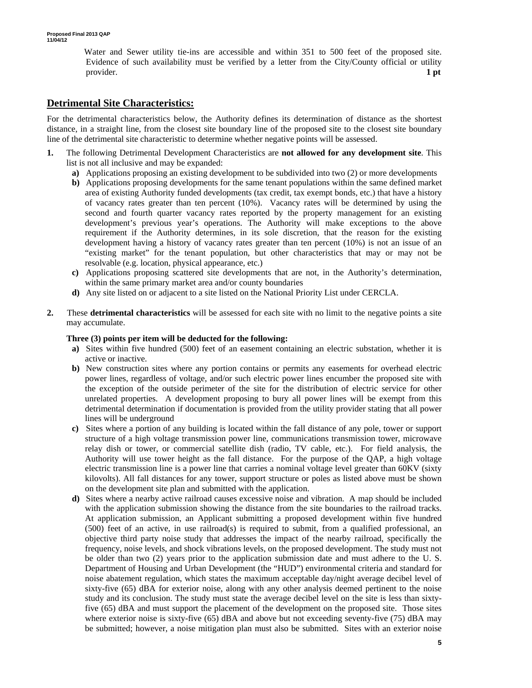Water and Sewer utility tie-ins are accessible and within 351 to 500 feet of the proposed site. Evidence of such availability must be verified by a letter from the City/County official or utility provider. **1 pt 1** 

# **Detrimental Site Characteristics:**

For the detrimental characteristics below, the Authority defines its determination of distance as the shortest distance, in a straight line, from the closest site boundary line of the proposed site to the closest site boundary line of the detrimental site characteristic to determine whether negative points will be assessed.

- **1.** The following Detrimental Development Characteristics are **not allowed for any development site**. This list is not all inclusive and may be expanded:
	- **a)** Applications proposing an existing development to be subdivided into two (2) or more developments
	- **b)** Applications proposing developments for the same tenant populations within the same defined market area of existing Authority funded developments (tax credit, tax exempt bonds, etc.) that have a history of vacancy rates greater than ten percent (10%). Vacancy rates will be determined by using the second and fourth quarter vacancy rates reported by the property management for an existing development's previous year's operations. The Authority will make exceptions to the above requirement if the Authority determines, in its sole discretion, that the reason for the existing development having a history of vacancy rates greater than ten percent (10%) is not an issue of an "existing market" for the tenant population, but other characteristics that may or may not be resolvable (e.g. location, physical appearance, etc.)
	- **c)** Applications proposing scattered site developments that are not, in the Authority's determination, within the same primary market area and/or county boundaries
	- **d)** Any site listed on or adjacent to a site listed on the National Priority List under CERCLA.
- **2.** These **detrimental characteristics** will be assessed for each site with no limit to the negative points a site may accumulate.

#### **Three (3) points per item will be deducted for the following:**

- **a)** Sites within five hundred (500) feet of an easement containing an electric substation, whether it is active or inactive.
- **b)** New construction sites where any portion contains or permits any easements for overhead electric power lines, regardless of voltage, and/or such electric power lines encumber the proposed site with the exception of the outside perimeter of the site for the distribution of electric service for other unrelated properties. A development proposing to bury all power lines will be exempt from this detrimental determination if documentation is provided from the utility provider stating that all power lines will be underground
- **c)** Sites where a portion of any building is located within the fall distance of any pole, tower or support structure of a high voltage transmission power line, communications transmission tower, microwave relay dish or tower, or commercial satellite dish (radio, TV cable, etc.). For field analysis, the Authority will use tower height as the fall distance. For the purpose of the QAP, a high voltage electric transmission line is a power line that carries a nominal voltage level greater than 60KV (sixty kilovolts). All fall distances for any tower, support structure or poles as listed above must be shown on the development site plan and submitted with the application.
- **d)** Sites where a nearby active railroad causes excessive noise and vibration. A map should be included with the application submission showing the distance from the site boundaries to the railroad tracks. At application submission, an Applicant submitting a proposed development within five hundred (500) feet of an active, in use railroad(s) is required to submit, from a qualified professional, an objective third party noise study that addresses the impact of the nearby railroad, specifically the frequency, noise levels, and shock vibrations levels, on the proposed development. The study must not be older than two (2) years prior to the application submission date and must adhere to the U. S. Department of Housing and Urban Development (the "HUD") environmental criteria and standard for noise abatement regulation, which states the maximum acceptable day/night average decibel level of sixty-five (65) dBA for exterior noise, along with any other analysis deemed pertinent to the noise study and its conclusion. The study must state the average decibel level on the site is less than sixtyfive (65) dBA and must support the placement of the development on the proposed site. Those sites where exterior noise is sixty-five (65) dBA and above but not exceeding seventy-five (75) dBA may be submitted; however, a noise mitigation plan must also be submitted. Sites with an exterior noise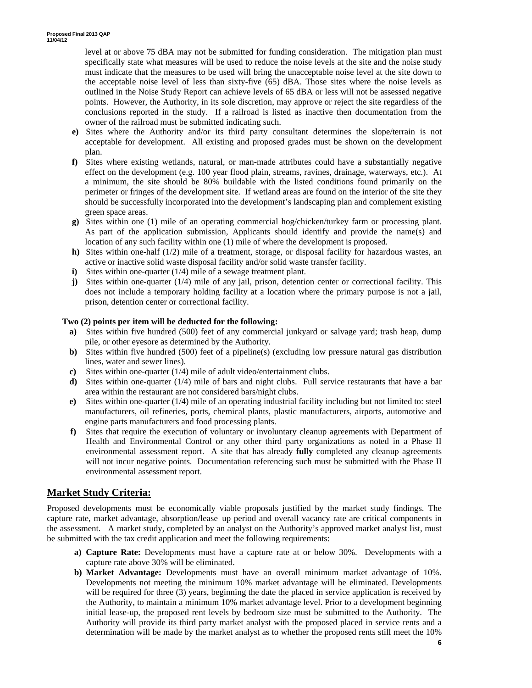level at or above 75 dBA may not be submitted for funding consideration. The mitigation plan must specifically state what measures will be used to reduce the noise levels at the site and the noise study must indicate that the measures to be used will bring the unacceptable noise level at the site down to the acceptable noise level of less than sixty-five (65) dBA. Those sites where the noise levels as outlined in the Noise Study Report can achieve levels of 65 dBA or less will not be assessed negative points. However, the Authority, in its sole discretion, may approve or reject the site regardless of the conclusions reported in the study. If a railroad is listed as inactive then documentation from the owner of the railroad must be submitted indicating such.

- **e)** Sites where the Authority and/or its third party consultant determines the slope/terrain is not acceptable for development. All existing and proposed grades must be shown on the development plan.
- **f)** Sites where existing wetlands, natural, or man-made attributes could have a substantially negative effect on the development (e.g. 100 year flood plain, streams, ravines, drainage, waterways, etc.). At a minimum, the site should be 80% buildable with the listed conditions found primarily on the perimeter or fringes of the development site. If wetland areas are found on the interior of the site they should be successfully incorporated into the development's landscaping plan and complement existing green space areas.
- **g)** Sites within one (1) mile of an operating commercial hog/chicken/turkey farm or processing plant. As part of the application submission, Applicants should identify and provide the name(s) and location of any such facility within one (1) mile of where the development is proposed.
- **h)** Sites within one-half (1/2) mile of a treatment, storage, or disposal facility for hazardous wastes, an active or inactive solid waste disposal facility and/or solid waste transfer facility.
- **i**) Sites within one-quarter (1/4) mile of a sewage treatment plant.
- **j)** Sites within one-quarter (1/4) mile of any jail, prison, detention center or correctional facility. This does not include a temporary holding facility at a location where the primary purpose is not a jail, prison, detention center or correctional facility.

#### **Two (2) points per item will be deducted for the following:**

- **a)** Sites within five hundred (500) feet of any commercial junkyard or salvage yard; trash heap, dump pile, or other eyesore as determined by the Authority.
- **b)** Sites within five hundred (500) feet of a pipeline(s) (excluding low pressure natural gas distribution lines, water and sewer lines).
- **c)** Sites within one-quarter (1/4) mile of adult video/entertainment clubs.
- **d**) Sites within one-quarter (1/4) mile of bars and night clubs. Full service restaurants that have a bar area within the restaurant are not considered bars/night clubs.
- **e)** Sites within one-quarter (1/4) mile of an operating industrial facility including but not limited to: steel manufacturers, oil refineries, ports, chemical plants, plastic manufacturers, airports, automotive and engine parts manufacturers and food processing plants.
- **f)** Sites that require the execution of voluntary or involuntary cleanup agreements with Department of Health and Environmental Control or any other third party organizations as noted in a Phase II environmental assessment report. A site that has already **fully** completed any cleanup agreements will not incur negative points. Documentation referencing such must be submitted with the Phase II environmental assessment report.

## **Market Study Criteria:**

Proposed developments must be economically viable proposals justified by the market study findings. The capture rate, market advantage, absorption/lease–up period and overall vacancy rate are critical components in the assessment. A market study, completed by an analyst on the Authority's approved market analyst list, must be submitted with the tax credit application and meet the following requirements:

- **a) Capture Rate:** Developments must have a capture rate at or below 30%. Developments with a capture rate above 30% will be eliminated.
- **b) Market Advantage:** Developments must have an overall minimum market advantage of 10%. Developments not meeting the minimum 10% market advantage will be eliminated. Developments will be required for three (3) years, beginning the date the placed in service application is received by the Authority, to maintain a minimum 10% market advantage level. Prior to a development beginning initial lease-up, the proposed rent levels by bedroom size must be submitted to the Authority. The Authority will provide its third party market analyst with the proposed placed in service rents and a determination will be made by the market analyst as to whether the proposed rents still meet the 10%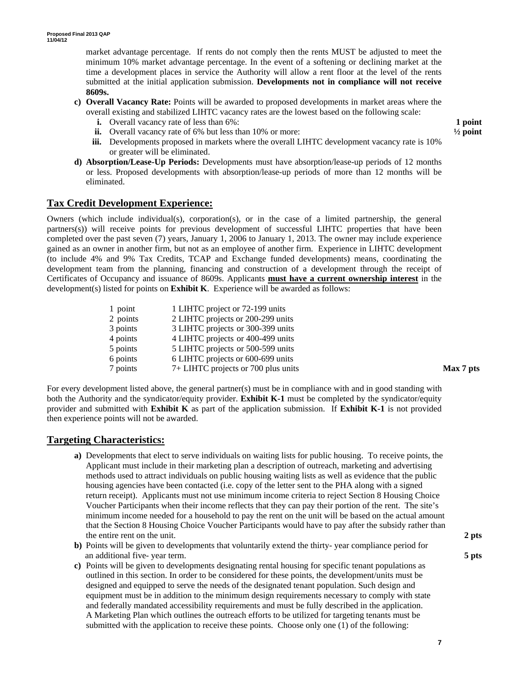market advantage percentage. If rents do not comply then the rents MUST be adjusted to meet the minimum 10% market advantage percentage. In the event of a softening or declining market at the time a development places in service the Authority will allow a rent floor at the level of the rents submitted at the initial application submission. **Developments not in compliance will not receive 8609s.** 

- **c) Overall Vacancy Rate:** Points will be awarded to proposed developments in market areas where the overall existing and stabilized LIHTC vacancy rates are the lowest based on the following scale:
	- **i.** Overall vacancy rate of less than 6%: **1 point**
	- **ii.** Overall vacancy rate of 6% but less than 10% or more:  $\frac{1}{2}$  point
	- **iii.** Developments proposed in markets where the overall LIHTC development vacancy rate is 10% or greater will be eliminated.
- **d) Absorption/Lease-Up Periods:** Developments must have absorption/lease-up periods of 12 months or less. Proposed developments with absorption/lease-up periods of more than 12 months will be eliminated.

### **Tax Credit Development Experience:**

Owners (which include individual(s), corporation(s), or in the case of a limited partnership, the general partners(s)) will receive points for previous development of successful LIHTC properties that have been completed over the past seven (7) years, January 1, 2006 to January 1, 2013. The owner may include experience gained as an owner in another firm, but not as an employee of another firm. Experience in LIHTC development (to include 4% and 9% Tax Credits, TCAP and Exchange funded developments) means, coordinating the development team from the planning, financing and construction of a development through the receipt of Certificates of Occupancy and issuance of 8609s. Applicants **must have a current ownership interest** in the development(s) listed for points on **Exhibit K**. Experience will be awarded as follows:

| 1 point  | 1 LIHTC project or 72-199 units     |           |
|----------|-------------------------------------|-----------|
| 2 points | 2 LIHTC projects or 200-299 units   |           |
| 3 points | 3 LIHTC projects or 300-399 units   |           |
| 4 points | 4 LIHTC projects or 400-499 units   |           |
| 5 points | 5 LIHTC projects or 500-599 units   |           |
| 6 points | 6 LIHTC projects or 600-699 units   |           |
| 7 points | 7+ LIHTC projects or 700 plus units | Max 7 pts |

For every development listed above, the general partner(s) must be in compliance with and in good standing with both the Authority and the syndicator/equity provider. **Exhibit K-1** must be completed by the syndicator/equity provider and submitted with **Exhibit K** as part of the application submission. If **Exhibit K-1** is not provided then experience points will not be awarded.

### **Targeting Characteristics:**

- **a)** Developments that elect to serve individuals on waiting lists for public housing. To receive points, the Applicant must include in their marketing plan a description of outreach, marketing and advertising methods used to attract individuals on public housing waiting lists as well as evidence that the public housing agencies have been contacted (i.e. copy of the letter sent to the PHA along with a signed return receipt). Applicants must not use minimum income criteria to reject Section 8 Housing Choice Voucher Participants when their income reflects that they can pay their portion of the rent. The site's minimum income needed for a household to pay the rent on the unit will be based on the actual amount that the Section 8 Housing Choice Voucher Participants would have to pay after the subsidy rather than the entire rent on the unit. **2 pts**
- **b)** Points will be given to developments that voluntarily extend the thirty- year compliance period for an additional five- year term. **5 pts**
- **c)** Points will be given to developments designating rental housing for specific tenant populations as outlined in this section. In order to be considered for these points, the development/units must be designed and equipped to serve the needs of the designated tenant population. Such design and equipment must be in addition to the minimum design requirements necessary to comply with state and federally mandated accessibility requirements and must be fully described in the application. A Marketing Plan which outlines the outreach efforts to be utilized for targeting tenants must be submitted with the application to receive these points. Choose only one (1) of the following: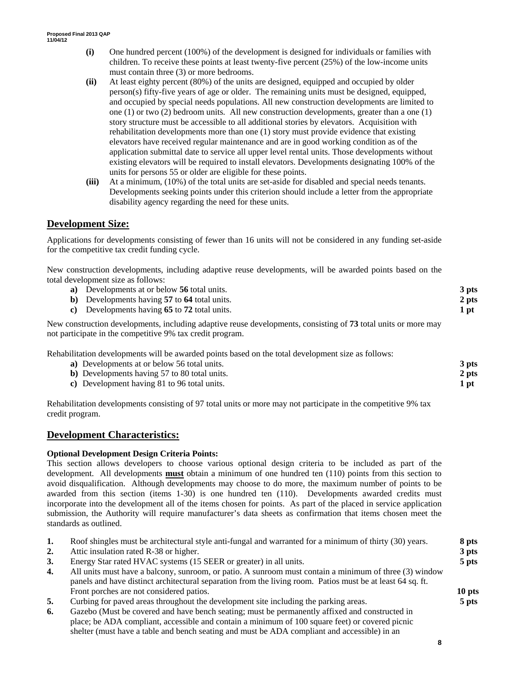- **(i)** One hundred percent (100%) of the development is designed for individuals or families with children. To receive these points at least twenty-five percent (25%) of the low-income units must contain three (3) or more bedrooms.
- **(ii)** At least eighty percent (80%) of the units are designed, equipped and occupied by older person(s) fifty-five years of age or older. The remaining units must be designed, equipped, and occupied by special needs populations. All new construction developments are limited to one (1) or two (2) bedroom units*.* All new construction developments, greater than a one (1) story structure must be accessible to all additional stories by elevators. Acquisition with rehabilitation developments more than one (1) story must provide evidence that existing elevators have received regular maintenance and are in good working condition as of the application submittal date to service all upper level rental units. Those developments without existing elevators will be required to install elevators. Developments designating 100% of the units for persons 55 or older are eligible for these points.
- **(iii)** At a minimum, (10%) of the total units are set-aside for disabled and special needs tenants. Developments seeking points under this criterion should include a letter from the appropriate disability agency regarding the need for these units.

# **Development Size:**

Applications for developments consisting of fewer than 16 units will not be considered in any funding set-aside for the competitive tax credit funding cycle.

New construction developments, including adaptive reuse developments, will be awarded points based on the total development size as follows:

| a) Developments at or below 56 total units.                                                                    | 3 pts |
|----------------------------------------------------------------------------------------------------------------|-------|
| b) Developments having 57 to 64 total units.                                                                   | 2 pts |
| c) Developments having 65 to 72 total units.                                                                   | 1 pt  |
| New construction developments, including adaptive reuse developments, consisting of 73 total units or more may |       |

Rehabilitation developments will be awarded points based on the total development size as follows:

| a) Developments at or below 56 total units.  | 3 pts |
|----------------------------------------------|-------|
| b) Developments having 57 to 80 total units. | 2 pts |
| c) Development having 81 to 96 total units.  | 1 pt  |

Rehabilitation developments consisting of 97 total units or more may not participate in the competitive 9% tax credit program.

### **Development Characteristics:**

### **Optional Development Design Criteria Points:**

not participate in the competitive 9% tax credit program.

This section allows developers to choose various optional design criteria to be included as part of the development. All developments **must** obtain a minimum of one hundred ten (110) points from this section to avoid disqualification. Although developments may choose to do more, the maximum number of points to be awarded from this section (items 1-30) is one hundred ten (110). Developments awarded credits must incorporate into the development all of the items chosen for points. As part of the placed in service application submission, the Authority will require manufacturer's data sheets as confirmation that items chosen meet the standards as outlined.

| 1. | Roof shingles must be architectural style anti-fungal and warranted for a minimum of thirty (30) years.    | 8 pts   |
|----|------------------------------------------------------------------------------------------------------------|---------|
| 2. | Attic insulation rated R-38 or higher.                                                                     | 3 pts   |
| 3. | Energy Star rated HVAC systems (15 SEER or greater) in all units.                                          | $5$ pts |
| 4. | All units must have a balcony, sunroom, or patio. A sunroom must contain a minimum of three (3) window     |         |
|    | panels and have distinct architectural separation from the living room. Patios must be at least 64 sq. ft. |         |
|    | Front porches are not considered patios.                                                                   | 10 pts  |
| 5. | Curbing for paved areas throughout the development site including the parking areas.                       | $5$ pts |
| 6. | Gazebo (Must be covered and have bench seating; must be permanently affixed and constructed in             |         |
|    | place; be ADA compliant, accessible and contain a minimum of 100 square feet) or covered picnic            |         |
|    | shelter (must have a table and bench seating and must be ADA compliant and accessible) in an               |         |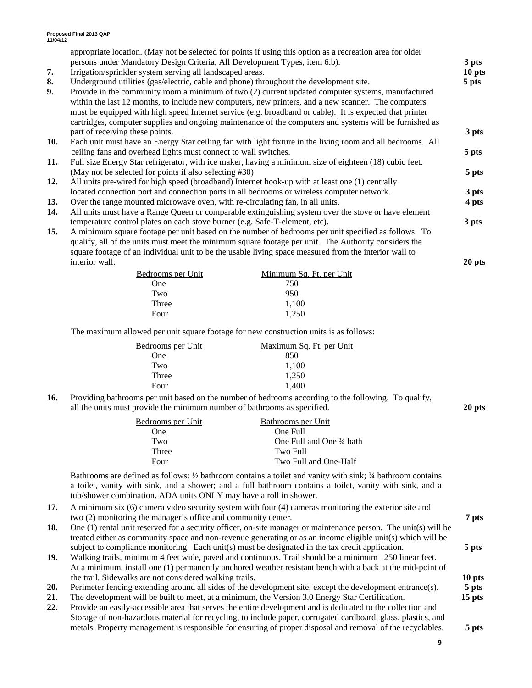|     | appropriate location. (May not be selected for points if using this option as a recreation area for older  |                  |
|-----|------------------------------------------------------------------------------------------------------------|------------------|
|     | persons under Mandatory Design Criteria, All Development Types, item 6.b).                                 | 3 <sub>pts</sub> |
| 7.  | Irrigation/sprinkler system serving all landscaped areas.                                                  | 10 pts           |
| 8.  | Underground utilities (gas/electric, cable and phone) throughout the development site.                     | 5 pts            |
| 9.  | Provide in the community room a minimum of two (2) current updated computer systems, manufactured          |                  |
|     | within the last 12 months, to include new computers, new printers, and a new scanner. The computers        |                  |
|     | must be equipped with high speed Internet service (e.g. broadband or cable). It is expected that printer   |                  |
|     | cartridges, computer supplies and ongoing maintenance of the computers and systems will be furnished as    |                  |
|     | part of receiving these points.                                                                            | 3 pts            |
| 10. | Each unit must have an Energy Star ceiling fan with light fixture in the living room and all bedrooms. All |                  |
|     | ceiling fans and overhead lights must connect to wall switches.                                            | 5 pts            |
| 11. | Full size Energy Star refrigerator, with ice maker, having a minimum size of eighteen (18) cubic feet.     |                  |
|     | (May not be selected for points if also selecting #30)                                                     | 5 pts            |
| 12. | All units pre-wired for high speed (broadband) Internet hook-up with at least one (1) centrally            |                  |
|     | located connection port and connection ports in all bedrooms or wireless computer network.                 | 3 pts            |
| 13. | Over the range mounted microwave oven, with re-circulating fan, in all units.                              | 4 pts            |
| 14. | All units must have a Range Queen or comparable extinguishing system over the stove or have element        |                  |
|     | temperature control plates on each stove burner (e.g. Safe-T-element, etc).                                | 3 pts            |
| 15. | A minimum square footage per unit based on the number of bedrooms per unit specified as follows. To        |                  |
|     | qualify, all of the units must meet the minimum square footage per unit. The Authority considers the       |                  |
|     | square footage of an individual unit to be the usable living space measured from the interior wall to      |                  |
|     | interior wall.                                                                                             | 20 pts           |
|     | Bedrooms per Unit<br>Minimum Sq. Ft. per Unit                                                              |                  |
|     | 750<br>One                                                                                                 |                  |

| Two   | 950   |
|-------|-------|
| Three | 1,100 |
| Four  | 1,250 |

The maximum allowed per unit square footage for new construction units is as follows:

| Bedrooms per Unit | Maximum Sq. Ft. per Unit |
|-------------------|--------------------------|
| One               | 850                      |
| Two               | 1,100                    |
| Three             | 1,250                    |
| Four              | 1.400                    |
|                   |                          |

**16.** Providing bathrooms per unit based on the number of bedrooms according to the following. To qualify, all the units must provide the minimum number of bathrooms as specified. **20 pts** 

| Bedrooms per Unit | Bathrooms per Unit       |
|-------------------|--------------------------|
| One               | One Full                 |
| Two               | One Full and One 34 bath |
| Three             | Two Full                 |
| Four              | Two Full and One-Half    |

Bathrooms are defined as follows: ½ bathroom contains a toilet and vanity with sink; ¾ bathroom contains a toilet, vanity with sink, and a shower; and a full bathroom contains a toilet, vanity with sink, and a tub/shower combination. ADA units ONLY may have a roll in shower.

- **17.** A minimum six (6) camera video security system with four (4) cameras monitoring the exterior site and two (2) monitoring the manager's office and community center. **7 pts**
- **18.** One (1) rental unit reserved for a security officer, on-site manager or maintenance person. The unit(s) will be treated either as community space and non-revenue generating or as an income eligible unit(s) which will be subject to compliance monitoring. Each unit(s) must be designated in the tax credit application. **5 pts**
- **19.** Walking trails, minimum 4 feet wide, paved and continuous. Trail should be a minimum 1250 linear feet. At a minimum, install one (1) permanently anchored weather resistant bench with a back at the mid-point of the trail. Sidewalks are not considered walking trails. **10 pts**
- **20.** Perimeter fencing extending around all sides of the development site, except the development entrance(s). **5 pts**
- **21.** The development will be built to meet, at a minimum, the Version 3.0 Energy Star Certification. **15 pts**
- **22.** Provide an easily-accessible area that serves the entire development and is dedicated to the collection and Storage of non-hazardous material for recycling, to include paper, corrugated cardboard, glass, plastics, and metals. Property management is responsible for ensuring of proper disposal and removal of the recyclables. **5 pts**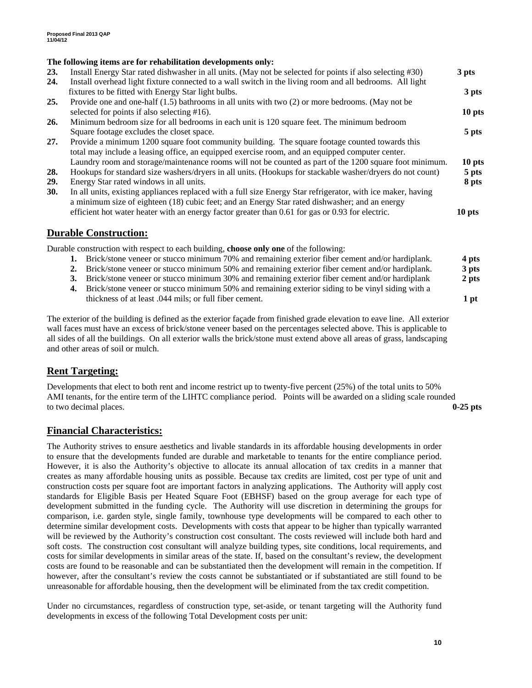#### **The following items are for rehabilitation developments only:**

| <b>23.</b> | Install Energy Star rated dishwasher in all units. (May not be selected for points if also selecting #30)    | 3 pts  |
|------------|--------------------------------------------------------------------------------------------------------------|--------|
| 24.        | Install overhead light fixture connected to a wall switch in the living room and all bedrooms. All light     |        |
|            | fixtures to be fitted with Energy Star light bulbs.                                                          | 3 pts  |
| 25.        | Provide one and one-half $(1.5)$ bathrooms in all units with two $(2)$ or more bedrooms. (May not be         |        |
|            | selected for points if also selecting #16).                                                                  | 10 pts |
| 26.        | Minimum bedroom size for all bedrooms in each unit is 120 square feet. The minimum bedroom                   |        |
|            | Square footage excludes the closet space.                                                                    | 5 pts  |
| 27.        | Provide a minimum 1200 square foot community building. The square footage counted towards this               |        |
|            | total may include a leasing office, an equipped exercise room, and an equipped computer center.              |        |
|            | Laundry room and storage/maintenance rooms will not be counted as part of the 1200 square foot minimum.      | 10 pts |
| 28.        | Hookups for standard size washers/dryers in all units. (Hookups for stackable washer/dryers do not count)    | 5 pts  |
| <b>29.</b> | Energy Star rated windows in all units.                                                                      | 8 pts  |
| <b>30.</b> | In all units, existing appliances replaced with a full size Energy Star refrigerator, with ice maker, having |        |
|            | a minimum size of eighteen (18) cubic feet; and an Energy Star rated dishwasher; and an energy               |        |
|            | efficient hot water heater with an energy factor greater than 0.61 for gas or 0.93 for electric.             | 10 pts |
|            |                                                                                                              |        |

### **Durable Construction:**

Durable construction with respect to each building, **choose only one** of the following:

- **1.** Brick/stone veneer or stucco minimum 70% and remaining exterior fiber cement and/or hardiplank. **4 pts**
- **2.** Brick/stone veneer or stucco minimum 50% and remaining exterior fiber cement and/or hardiplank. **3 pts**
- **3.** Brick/stone veneer or stucco minimum 30% and remaining exterior fiber cement and/or hardiplank **2 pts**
- **4.** Brick/stone veneer or stucco minimum 50% and remaining exterior siding to be vinyl siding with a thickness of at least .044 mils; or full fiber cement. **1 pt**

The exterior of the building is defined as the exterior façade from finished grade elevation to eave line. All exterior wall faces must have an excess of brick/stone veneer based on the percentages selected above. This is applicable to all sides of all the buildings. On all exterior walls the brick/stone must extend above all areas of grass, landscaping and other areas of soil or mulch.

## **Rent Targeting:**

Developments that elect to both rent and income restrict up to twenty-five percent (25%) of the total units to 50% AMI tenants, for the entire term of the LIHTC compliance period. Points will be awarded on a sliding scale rounded to two decimal places. **0-25 pts**

### **Financial Characteristics:**

The Authority strives to ensure aesthetics and livable standards in its affordable housing developments in order to ensure that the developments funded are durable and marketable to tenants for the entire compliance period. However, it is also the Authority's objective to allocate its annual allocation of tax credits in a manner that creates as many affordable housing units as possible. Because tax credits are limited, cost per type of unit and construction costs per square foot are important factors in analyzing applications. The Authority will apply cost standards for Eligible Basis per Heated Square Foot (EBHSF) based on the group average for each type of development submitted in the funding cycle. The Authority will use discretion in determining the groups for comparison, i.e. garden style, single family, townhouse type developments will be compared to each other to determine similar development costs. Developments with costs that appear to be higher than typically warranted will be reviewed by the Authority's construction cost consultant. The costs reviewed will include both hard and soft costs. The construction cost consultant will analyze building types, site conditions, local requirements, and costs for similar developments in similar areas of the state. If, based on the consultant's review, the development costs are found to be reasonable and can be substantiated then the development will remain in the competition. If however, after the consultant's review the costs cannot be substantiated or if substantiated are still found to be unreasonable for affordable housing, then the development will be eliminated from the tax credit competition.

Under no circumstances, regardless of construction type, set-aside, or tenant targeting will the Authority fund developments in excess of the following Total Development costs per unit: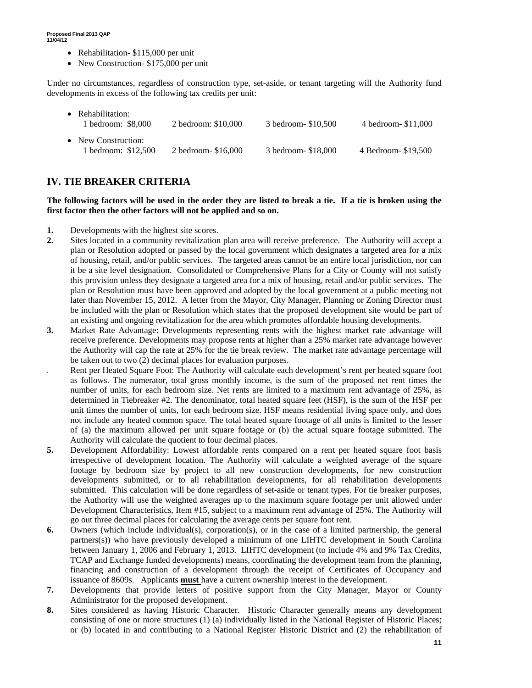- Rehabilitation- \$115,000 per unit
- New Construction- \$175,000 per unit

Under no circumstances, regardless of construction type, set-aside, or tenant targeting will the Authority fund developments in excess of the following tax credits per unit:

| • Rehabilitation:<br>1 bedroom: \$8,000    | 2 bedroom: \$10,000  | 3 bedroom- \$10,500 | 4 bedroom - \$11,000 |
|--------------------------------------------|----------------------|---------------------|----------------------|
| • New Construction:<br>1 bedroom: \$12,500 | 2 bedroom - \$16,000 | 3 bedroom- \$18,000 | 4 Bedroom - \$19.500 |

# **IV. TIE BREAKER CRITERIA**

**The following factors will be used in the order they are listed to break a tie. If a tie is broken using the first factor then the other factors will not be applied and so on.** 

- **1.** Developments with the highest site scores.
- **2.** Sites located in a community revitalization plan area will receive preference. The Authority will accept a plan or Resolution adopted or passed by the local government which designates a targeted area for a mix of housing, retail, and/or public services. The targeted areas cannot be an entire local jurisdiction, nor can it be a site level designation. Consolidated or Comprehensive Plans for a City or County will not satisfy this provision unless they designate a targeted area for a mix of housing, retail and/or public services. The plan or Resolution must have been approved and adopted by the local government at a public meeting not later than November 15, 2012. A letter from the Mayor, City Manager, Planning or Zoning Director must be included with the plan or Resolution which states that the proposed development site would be part of an existing and ongoing revitalization for the area which promotes affordable housing developments.
- **3.** Market Rate Advantage: Developments representing rents with the highest market rate advantage will receive preference. Developments may propose rents at higher than a 25% market rate advantage however the Authority will cap the rate at 25% for the tie break review. The market rate advantage percentage will be taken out to two (2) decimal places for evaluation purposes.
- **4.** Rent per Heated Square Foot: The Authority will calculate each development's rent per heated square foot as follows. The numerator, total gross monthly income, is the sum of the proposed net rent times the number of units, for each bedroom size. Net rents are limited to a maximum rent advantage of 25%, as determined in Tiebreaker #2. The denominator, total heated square feet (HSF), is the sum of the HSF per unit times the number of units, for each bedroom size. HSF means residential living space only, and does not include any heated common space. The total heated square footage of all units is limited to the lesser of (a) the maximum allowed per unit square footage or (b) the actual square footage submitted. The Authority will calculate the quotient to four decimal places.
- **5.** Development Affordability: Lowest affordable rents compared on a rent per heated square foot basis irrespective of development location. The Authority will calculate a weighted average of the square footage by bedroom size by project to all new construction developments, for new construction developments submitted, or to all rehabilitation developments, for all rehabilitation developments submitted. This calculation will be done regardless of set-aside or tenant types. For tie breaker purposes, the Authority will use the weighted averages up to the maximum square footage per unit allowed under Development Characteristics, Item #15, subject to a maximum rent advantage of 25%. The Authority will go out three decimal places for calculating the average cents per square foot rent.
- **6.** Owners (which include individual(s), corporation(s), or in the case of a limited partnership, the general partners(s)) who have previously developed a minimum of one LIHTC development in South Carolina between January 1, 2006 and February 1, 2013. LIHTC development (to include 4% and 9% Tax Credits, TCAP and Exchange funded developments) means, coordinating the development team from the planning, financing and construction of a development through the receipt of Certificates of Occupancy and issuance of 8609s. Applicants **must** have a current ownership interest in the development.
- **7.** Developments that provide letters of positive support from the City Manager, Mayor or County Administrator for the proposed development.
- **8.** Sites considered as having Historic Character. Historic Character generally means any development consisting of one or more structures (1) (a) individually listed in the National Register of Historic Places; or (b) located in and contributing to a National Register Historic District and (2) the rehabilitation of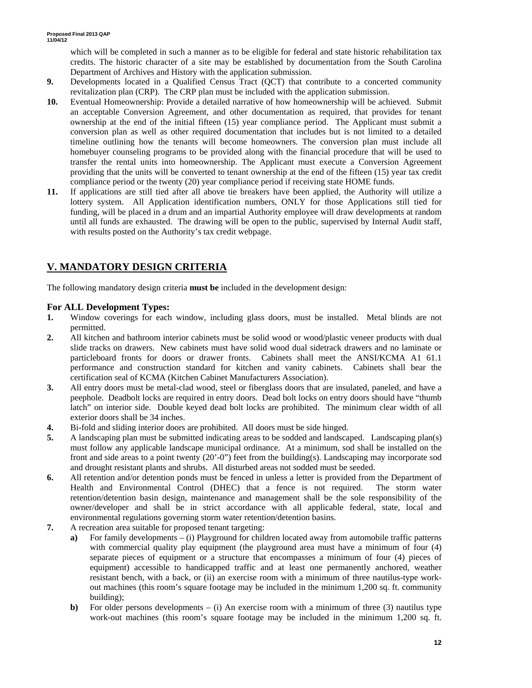which will be completed in such a manner as to be eligible for federal and state historic rehabilitation tax credits. The historic character of a site may be established by documentation from the South Carolina Department of Archives and History with the application submission.

- **9.** Developments located in a Qualified Census Tract (QCT) that contribute to a concerted community revitalization plan (CRP). The CRP plan must be included with the application submission.
- **10.** Eventual Homeownership: Provide a detailed narrative of how homeownership will be achieved. Submit an acceptable Conversion Agreement, and other documentation as required, that provides for tenant ownership at the end of the initial fifteen (15) year compliance period. The Applicant must submit a conversion plan as well as other required documentation that includes but is not limited to a detailed timeline outlining how the tenants will become homeowners. The conversion plan must include all homebuyer counseling programs to be provided along with the financial procedure that will be used to transfer the rental units into homeownership. The Applicant must execute a Conversion Agreement providing that the units will be converted to tenant ownership at the end of the fifteen (15) year tax credit compliance period or the twenty (20) year compliance period if receiving state HOME funds.
- **11.** If applications are still tied after all above tie breakers have been applied, the Authority will utilize a lottery system. All Application identification numbers, ONLY for those Applications still tied for funding, will be placed in a drum and an impartial Authority employee will draw developments at random until all funds are exhausted. The drawing will be open to the public, supervised by Internal Audit staff, with results posted on the Authority's tax credit webpage.

# **V. MANDATORY DESIGN CRITERIA**

The following mandatory design criteria **must be** included in the development design:

### **For ALL Development Types:**

- **1.** Window coverings for each window, including glass doors, must be installed. Metal blinds are not permitted.
- **2.** All kitchen and bathroom interior cabinets must be solid wood or wood/plastic veneer products with dual slide tracks on drawers. New cabinets must have solid wood dual sidetrack drawers and no laminate or particleboard fronts for doors or drawer fronts. Cabinets shall meet the ANSI/KCMA A1 61.1 performance and construction standard for kitchen and vanity cabinets. Cabinets shall bear the certification seal of KCMA (Kitchen Cabinet Manufacturers Association).
- **3.** All entry doors must be metal-clad wood, steel or fiberglass doors that are insulated, paneled, and have a peephole. Deadbolt locks are required in entry doors. Dead bolt locks on entry doors should have "thumb latch" on interior side. Double keyed dead bolt locks are prohibited. The minimum clear width of all exterior doors shall be 34 inches.
- **4.** Bi-fold and sliding interior doors are prohibited. All doors must be side hinged.
- **5.** A landscaping plan must be submitted indicating areas to be sodded and landscaped. Landscaping plan(s) must follow any applicable landscape municipal ordinance. At a minimum, sod shall be installed on the front and side areas to a point twenty (20'-0") feet from the building(s). Landscaping may incorporate sod and drought resistant plants and shrubs. All disturbed areas not sodded must be seeded.
- **6.** All retention and/or detention ponds must be fenced in unless a letter is provided from the Department of Health and Environmental Control (DHEC) that a fence is not required. The storm water retention/detention basin design, maintenance and management shall be the sole responsibility of the owner/developer and shall be in strict accordance with all applicable federal, state, local and environmental regulations governing storm water retention/detention basins.
- **7.** A recreation area suitable for proposed tenant targeting:
	- **a)** For family developments (i) Playground for children located away from automobile traffic patterns with commercial quality play equipment (the playground area must have a minimum of four (4) separate pieces of equipment or a structure that encompasses a minimum of four (4) pieces of equipment) accessible to handicapped traffic and at least one permanently anchored, weather resistant bench, with a back, or (ii) an exercise room with a minimum of three nautilus-type workout machines (this room's square footage may be included in the minimum 1,200 sq. ft. community building);
	- **b**) For older persons developments (i) An exercise room with a minimum of three (3) nautilus type work-out machines (this room's square footage may be included in the minimum 1,200 sq. ft.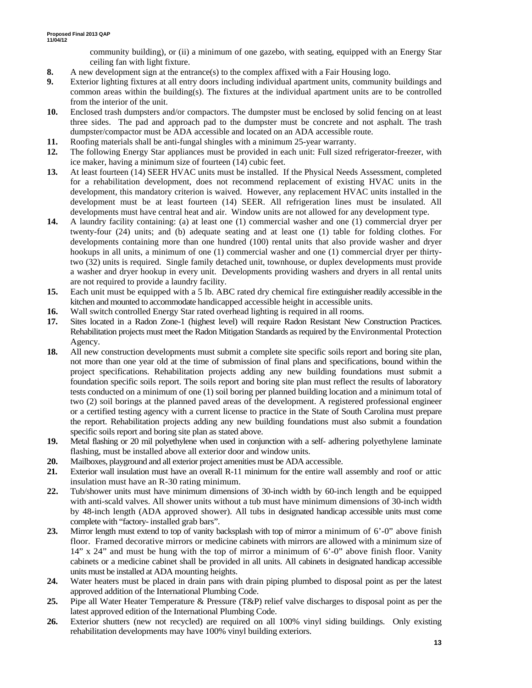community building), or (ii) a minimum of one gazebo, with seating, equipped with an Energy Star ceiling fan with light fixture.

- **8.** A new development sign at the entrance(s) to the complex affixed with a Fair Housing logo.
- **9.** Exterior lighting fixtures at all entry doors including individual apartment units, community buildings and common areas within the building(s). The fixtures at the individual apartment units are to be controlled from the interior of the unit.
- **10.** Enclosed trash dumpsters and/or compactors. The dumpster must be enclosed by solid fencing on at least three sides. The pad and approach pad to the dumpster must be concrete and not asphalt. The trash dumpster/compactor must be ADA accessible and located on an ADA accessible route.
- **11.** Roofing materials shall be anti-fungal shingles with a minimum 25-year warranty.
- **12.** The following Energy Star appliances must be provided in each unit: Full sized refrigerator-freezer, with ice maker, having a minimum size of fourteen (14) cubic feet.
- **13.** At least fourteen (14) SEER HVAC units must be installed. If the Physical Needs Assessment, completed for a rehabilitation development, does not recommend replacement of existing HVAC units in the development, this mandatory criterion is waived. However, any replacement HVAC units installed in the development must be at least fourteen (14) SEER. All refrigeration lines must be insulated. All developments must have central heat and air. Window units are not allowed for any development type.
- **14.** A laundry facility containing: (a) at least one (1) commercial washer and one (1) commercial dryer per twenty-four (24) units; and (b) adequate seating and at least one (1) table for folding clothes. For developments containing more than one hundred (100) rental units that also provide washer and dryer hookups in all units, a minimum of one (1) commercial washer and one (1) commercial dryer per thirtytwo (32) units is required. Single family detached unit, townhouse, or duplex developments must provide a washer and dryer hookup in every unit. Developments providing washers and dryers in all rental units are not required to provide a laundry facility.
- **15.** Each unit must be equipped with a 5 lb. ABC rated dry chemical fire extinguisher readily accessible in the kitchen and mounted to accommodate handicapped accessible height in accessible units.
- **16.** Wall switch controlled Energy Star rated overhead lighting is required in all rooms.
- **17.** Sites located in a Radon Zone-1 (highest level) will require Radon Resistant New Construction Practices. Rehabilitation projects must meet the Radon Mitigation Standards as required by the Environmental Protection Agency.
- **18.** All new construction developments must submit a complete site specific soils report and boring site plan, not more than one year old at the time of submission of final plans and specifications, bound within the project specifications. Rehabilitation projects adding any new building foundations must submit a foundation specific soils report. The soils report and boring site plan must reflect the results of laboratory tests conducted on a minimum of one (1) soil boring per planned building location and a minimum total of two (2) soil borings at the planned paved areas of the development. A registered professional engineer or a certified testing agency with a current license to practice in the State of South Carolina must prepare the report. Rehabilitation projects adding any new building foundations must also submit a foundation specific soils report and boring site plan as stated above.
- **19.** Metal flashing or 20 mil polyethylene when used in conjunction with a self- adhering polyethylene laminate flashing, must be installed above all exterior door and window units.
- **20.** Mailboxes, playground and all exterior project amenities must be ADA accessible.
- **21.** Exterior wall insulation must have an overall R-11 minimum for the entire wall assembly and roof or attic insulation must have an R-30 rating minimum.
- **22.** Tub/shower units must have minimum dimensions of 30-inch width by 60-inch length and be equipped with anti-scald valves. All shower units without a tub must have minimum dimensions of 30-inch width by 48-inch length (ADA approved shower). All tubs in designated handicap accessible units must come complete with "factory- installed grab bars".
- **23.** Mirror length must extend to top of vanity backsplash with top of mirror a minimum of 6'-0" above finish floor. Framed decorative mirrors or medicine cabinets with mirrors are allowed with a minimum size of  $14$ " x 24" and must be hung with the top of mirror a minimum of 6'-0" above finish floor. Vanity cabinets or a medicine cabinet shall be provided in all units. All cabinets in designated handicap accessible units must be installed at ADA mounting heights.
- **24.** Water heaters must be placed in drain pans with drain piping plumbed to disposal point as per the latest approved addition of the International Plumbing Code.
- **25.** Pipe all Water Heater Temperature & Pressure (T&P) relief valve discharges to disposal point as per the latest approved edition of the International Plumbing Code.
- **26.** Exterior shutters (new not recycled) are required on all 100% vinyl siding buildings. Only existing rehabilitation developments may have 100% vinyl building exteriors.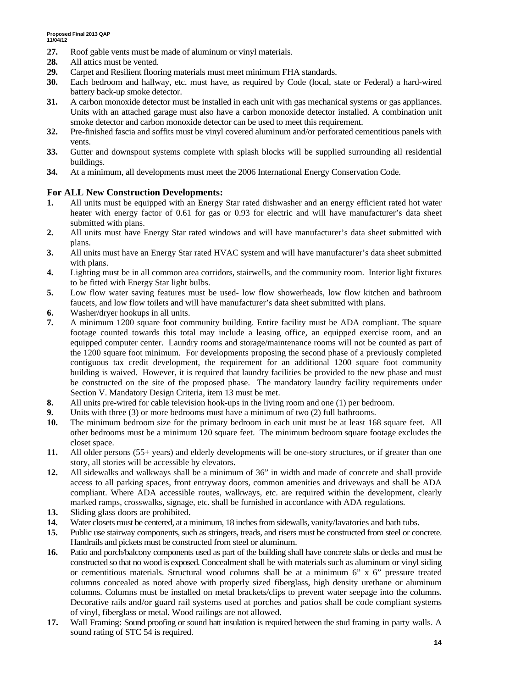- **27.** Roof gable vents must be made of aluminum or vinyl materials.
- **28.** All attics must be vented.
- **29.** Carpet and Resilient flooring materials must meet minimum FHA standards.
- **30.** Each bedroom and hallway, etc. must have, as required by Code (local, state or Federal) a hard-wired battery back-up smoke detector.
- **31.** A carbon monoxide detector must be installed in each unit with gas mechanical systems or gas appliances. Units with an attached garage must also have a carbon monoxide detector installed. A combination unit smoke detector and carbon monoxide detector can be used to meet this requirement.
- **32.** Pre-finished fascia and soffits must be vinyl covered aluminum and/or perforated cementitious panels with vents.
- **33.** Gutter and downspout systems complete with splash blocks will be supplied surrounding all residential buildings.
- **34.** At a minimum, all developments must meet the 2006 International Energy Conservation Code.

#### **For ALL New Construction Developments:**

- **1.** All units must be equipped with an Energy Star rated dishwasher and an energy efficient rated hot water heater with energy factor of 0.61 for gas or 0.93 for electric and will have manufacturer's data sheet submitted with plans.
- **2.** All units must have Energy Star rated windows and will have manufacturer's data sheet submitted with plans.
- **3.** All units must have an Energy Star rated HVAC system and will have manufacturer's data sheet submitted with plans.
- **4.** Lighting must be in all common area corridors, stairwells, and the community room. Interior light fixtures to be fitted with Energy Star light bulbs.
- **5.** Low flow water saving features must be used- low flow showerheads, low flow kitchen and bathroom faucets, and low flow toilets and will have manufacturer's data sheet submitted with plans.
- **6.** Washer/dryer hookups in all units.
- **7.** A minimum 1200 square foot community building. Entire facility must be ADA compliant. The square footage counted towards this total may include a leasing office, an equipped exercise room, and an equipped computer center. Laundry rooms and storage/maintenance rooms will not be counted as part of the 1200 square foot minimum. For developments proposing the second phase of a previously completed contiguous tax credit development, the requirement for an additional 1200 square foot community building is waived. However, it is required that laundry facilities be provided to the new phase and must be constructed on the site of the proposed phase. The mandatory laundry facility requirements under Section V. Mandatory Design Criteria, item 13 must be met.
- **8.** All units pre-wired for cable television hook-ups in the living room and one (1) per bedroom.
- **9.** Units with three (3) or more bedrooms must have a minimum of two (2) full bathrooms.
- **10.** The minimum bedroom size for the primary bedroom in each unit must be at least 168 square feet. All other bedrooms must be a minimum 120 square feet. The minimum bedroom square footage excludes the closet space.
- **11.** All older persons (55+ years) and elderly developments will be one-story structures, or if greater than one story, all stories will be accessible by elevators.
- **12.** All sidewalks and walkways shall be a minimum of 36" in width and made of concrete and shall provide access to all parking spaces, front entryway doors, common amenities and driveways and shall be ADA compliant. Where ADA accessible routes, walkways, etc. are required within the development, clearly marked ramps, crosswalks, signage, etc. shall be furnished in accordance with ADA regulations.
- **13.** Sliding glass doors are prohibited.
- **14.** Water closets must be centered, at a minimum, 18 inches from sidewalls, vanity/lavatories and bath tubs.
- **15.** Public use stairway components, such as stringers, treads, and risers must be constructed from steel or concrete. Handrails and pickets must be constructed from steel or aluminum.
- **16.** Patio and porch/balcony components used as part of the building shall have concrete slabs or decks and must be constructed so that no wood is exposed. Concealment shall be with materials such as aluminum or vinyl siding or cementitious materials. Structural wood columns shall be at a minimum 6" x 6" pressure treated columns concealed as noted above with properly sized fiberglass, high density urethane or aluminum columns. Columns must be installed on metal brackets/clips to prevent water seepage into the columns. Decorative rails and/or guard rail systems used at porches and patios shall be code compliant systems of vinyl, fiberglass or metal. Wood railings are not allowed.
- **17.** Wall Framing: Sound proofing or sound batt insulation is required between the stud framing in party walls. A sound rating of STC 54 is required.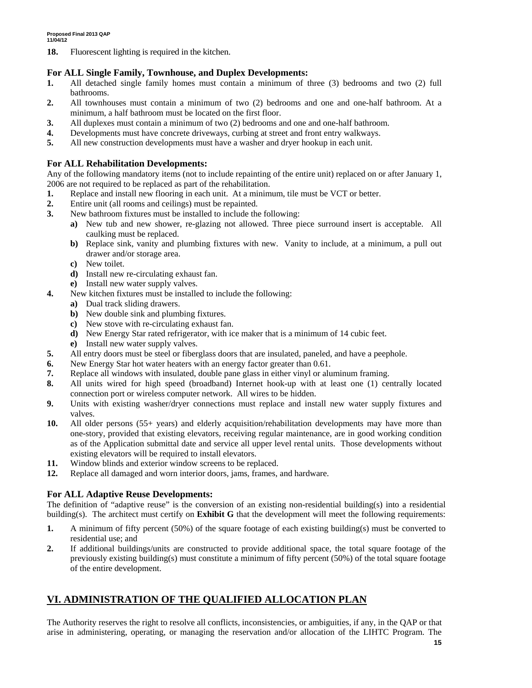**18.** Fluorescent lighting is required in the kitchen.

#### **For ALL Single Family, Townhouse, and Duplex Developments:**

- **1.** All detached single family homes must contain a minimum of three (3) bedrooms and two (2) full bathrooms.
- **2.** All townhouses must contain a minimum of two (2) bedrooms and one and one-half bathroom. At a minimum, a half bathroom must be located on the first floor.
- **3.** All duplexes must contain a minimum of two (2) bedrooms and one and one-half bathroom.
- **4.** Developments must have concrete driveways, curbing at street and front entry walkways.
- **5.** All new construction developments must have a washer and dryer hookup in each unit.

#### **For ALL Rehabilitation Developments:**

Any of the following mandatory items (not to include repainting of the entire unit) replaced on or after January 1, 2006 are not required to be replaced as part of the rehabilitation.

- **1.** Replace and install new flooring in each unit. At a minimum, tile must be VCT or better.
- **2.** Entire unit (all rooms and ceilings) must be repainted.
- **3.** New bathroom fixtures must be installed to include the following:
	- **a)** New tub and new shower, re-glazing not allowed. Three piece surround insert is acceptable. All caulking must be replaced.
	- **b)** Replace sink, vanity and plumbing fixtures with new. Vanity to include, at a minimum, a pull out drawer and/or storage area.
	- **c)** New toilet.
	- **d)** Install new re-circulating exhaust fan.
	- **e)** Install new water supply valves.
- **4.** New kitchen fixtures must be installed to include the following:
	- **a)** Dual track sliding drawers.
	- **b)** New double sink and plumbing fixtures.
	- **c)** New stove with re-circulating exhaust fan.
	- **d)** New Energy Star rated refrigerator, with ice maker that is a minimum of 14 cubic feet.
	- **e)** Install new water supply valves.
- **5.** All entry doors must be steel or fiberglass doors that are insulated, paneled, and have a peephole.
- **6.** New Energy Star hot water heaters with an energy factor greater than 0.61.
- **7.** Replace all windows with insulated, double pane glass in either vinyl or aluminum framing.
- **8.** All units wired for high speed (broadband) Internet hook-up with at least one (1) centrally located connection port or wireless computer network. All wires to be hidden.
- **9.** Units with existing washer/dryer connections must replace and install new water supply fixtures and valves.
- **10.** All older persons (55+ years) and elderly acquisition/rehabilitation developments may have more than one-story, provided that existing elevators, receiving regular maintenance, are in good working condition as of the Application submittal date and service all upper level rental units. Those developments without existing elevators will be required to install elevators.
- **11.** Window blinds and exterior window screens to be replaced.
- **12.** Replace all damaged and worn interior doors, jams, frames, and hardware.

### **For ALL Adaptive Reuse Developments:**

The definition of "adaptive reuse" is the conversion of an existing non-residential building(s) into a residential building(s). The architect must certify on **Exhibit G** that the development will meet the following requirements:

- **1.** A minimum of fifty percent (50%) of the square footage of each existing building(s) must be converted to residential use; and
- **2.** If additional buildings/units are constructed to provide additional space, the total square footage of the previously existing building(s) must constitute a minimum of fifty percent (50%) of the total square footage of the entire development.

## **VI. ADMINISTRATION OF THE QUALIFIED ALLOCATION PLAN**

The Authority reserves the right to resolve all conflicts, inconsistencies, or ambiguities, if any, in the QAP or that arise in administering, operating, or managing the reservation and/or allocation of the LIHTC Program. The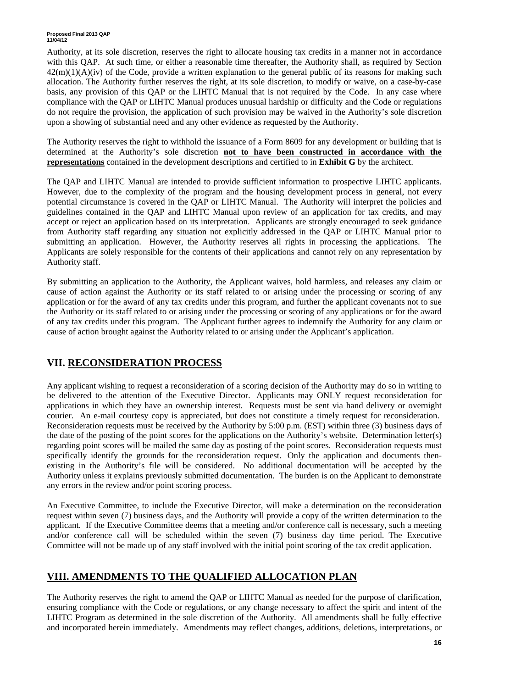#### **Proposed Final 2013 QAP 11/04/12**

Authority, at its sole discretion, reserves the right to allocate housing tax credits in a manner not in accordance with this QAP. At such time, or either a reasonable time thereafter, the Authority shall, as required by Section  $42(m)(1)(A)(iv)$  of the Code, provide a written explanation to the general public of its reasons for making such allocation. The Authority further reserves the right, at its sole discretion, to modify or waive, on a case-by-case basis, any provision of this QAP or the LIHTC Manual that is not required by the Code. In any case where compliance with the QAP or LIHTC Manual produces unusual hardship or difficulty and the Code or regulations do not require the provision, the application of such provision may be waived in the Authority's sole discretion upon a showing of substantial need and any other evidence as requested by the Authority.

The Authority reserves the right to withhold the issuance of a Form 8609 for any development or building that is determined at the Authority's sole discretion **not to have been constructed in accordance with the representations** contained in the development descriptions and certified to in **Exhibit G** by the architect.

The QAP and LIHTC Manual are intended to provide sufficient information to prospective LIHTC applicants. However, due to the complexity of the program and the housing development process in general, not every potential circumstance is covered in the QAP or LIHTC Manual. The Authority will interpret the policies and guidelines contained in the QAP and LIHTC Manual upon review of an application for tax credits, and may accept or reject an application based on its interpretation. Applicants are strongly encouraged to seek guidance from Authority staff regarding any situation not explicitly addressed in the QAP or LIHTC Manual prior to submitting an application. However, the Authority reserves all rights in processing the applications. The Applicants are solely responsible for the contents of their applications and cannot rely on any representation by Authority staff.

By submitting an application to the Authority, the Applicant waives, hold harmless, and releases any claim or cause of action against the Authority or its staff related to or arising under the processing or scoring of any application or for the award of any tax credits under this program, and further the applicant covenants not to sue the Authority or its staff related to or arising under the processing or scoring of any applications or for the award of any tax credits under this program. The Applicant further agrees to indemnify the Authority for any claim or cause of action brought against the Authority related to or arising under the Applicant's application.

## **VII. RECONSIDERATION PROCESS**

Any applicant wishing to request a reconsideration of a scoring decision of the Authority may do so in writing to be delivered to the attention of the Executive Director. Applicants may ONLY request reconsideration for applications in which they have an ownership interest. Requests must be sent via hand delivery or overnight courier. An e-mail courtesy copy is appreciated, but does not constitute a timely request for reconsideration. Reconsideration requests must be received by the Authority by 5:00 p.m. (EST) within three (3) business days of the date of the posting of the point scores for the applications on the Authority's website. Determination letter(s) regarding point scores will be mailed the same day as posting of the point scores. Reconsideration requests must specifically identify the grounds for the reconsideration request. Only the application and documents thenexisting in the Authority's file will be considered. No additional documentation will be accepted by the Authority unless it explains previously submitted documentation. The burden is on the Applicant to demonstrate any errors in the review and/or point scoring process.

An Executive Committee, to include the Executive Director, will make a determination on the reconsideration request within seven (7) business days, and the Authority will provide a copy of the written determination to the applicant. If the Executive Committee deems that a meeting and/or conference call is necessary, such a meeting and/or conference call will be scheduled within the seven (7) business day time period. The Executive Committee will not be made up of any staff involved with the initial point scoring of the tax credit application.

# **VIII. AMENDMENTS TO THE QUALIFIED ALLOCATION PLAN**

The Authority reserves the right to amend the QAP or LIHTC Manual as needed for the purpose of clarification, ensuring compliance with the Code or regulations, or any change necessary to affect the spirit and intent of the LIHTC Program as determined in the sole discretion of the Authority. All amendments shall be fully effective and incorporated herein immediately. Amendments may reflect changes, additions, deletions, interpretations, or